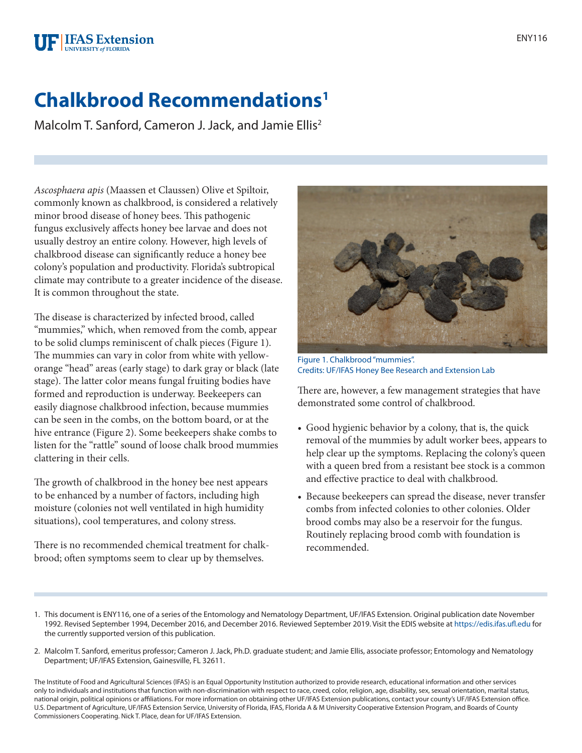## **FIFAS** Extension **JNIVERSITY of FLORIDA**

## **Chalkbrood Recommendations1**

Malcolm T. Sanford, Cameron J. Jack, and Jamie Ellis<sup>2</sup>

*Ascosphaera apis* (Maassen et Claussen) Olive et Spiltoir, commonly known as chalkbrood, is considered a relatively minor brood disease of honey bees. This pathogenic fungus exclusively affects honey bee larvae and does not usually destroy an entire colony. However, high levels of chalkbrood disease can significantly reduce a honey bee colony's population and productivity. Florida's subtropical climate may contribute to a greater incidence of the disease. It is common throughout the state.

The disease is characterized by infected brood, called "mummies," which, when removed from the comb, appear to be solid clumps reminiscent of chalk pieces (Figure 1). The mummies can vary in color from white with yelloworange "head" areas (early stage) to dark gray or black (late stage). The latter color means fungal fruiting bodies have formed and reproduction is underway. Beekeepers can easily diagnose chalkbrood infection, because mummies can be seen in the combs, on the bottom board, or at the hive entrance (Figure 2). Some beekeepers shake combs to listen for the "rattle" sound of loose chalk brood mummies clattering in their cells.

The growth of chalkbrood in the honey bee nest appears to be enhanced by a number of factors, including high moisture (colonies not well ventilated in high humidity situations), cool temperatures, and colony stress.

There is no recommended chemical treatment for chalkbrood; often symptoms seem to clear up by themselves.



Figure 1. Chalkbrood "mummies". Credits: UF/IFAS Honey Bee Research and Extension Lab

There are, however, a few management strategies that have demonstrated some control of chalkbrood.

- Good hygienic behavior by a colony, that is, the quick removal of the mummies by adult worker bees, appears to help clear up the symptoms. Replacing the colony's queen with a queen bred from a resistant bee stock is a common and effective practice to deal with chalkbrood.
- Because beekeepers can spread the disease, never transfer combs from infected colonies to other colonies. Older brood combs may also be a reservoir for the fungus. Routinely replacing brood comb with foundation is recommended.
- 1. This document is ENY116, one of a series of the Entomology and Nematology Department, UF/IFAS Extension. Original publication date November 1992. Revised September 1994, December 2016, and December 2016. Reviewed September 2019. Visit the EDIS website at<https://edis.ifas.ufl.edu> for the currently supported version of this publication.
- 2. Malcolm T. Sanford, emeritus professor; Cameron J. Jack, Ph.D. graduate student; and Jamie Ellis, associate professor; Entomology and Nematology Department; UF/IFAS Extension, Gainesville, FL 32611.

The Institute of Food and Agricultural Sciences (IFAS) is an Equal Opportunity Institution authorized to provide research, educational information and other services only to individuals and institutions that function with non-discrimination with respect to race, creed, color, religion, age, disability, sex, sexual orientation, marital status, national origin, political opinions or affiliations. For more information on obtaining other UF/IFAS Extension publications, contact your county's UF/IFAS Extension office. U.S. Department of Agriculture, UF/IFAS Extension Service, University of Florida, IFAS, Florida A & M University Cooperative Extension Program, and Boards of County Commissioners Cooperating. Nick T. Place, dean for UF/IFAS Extension.